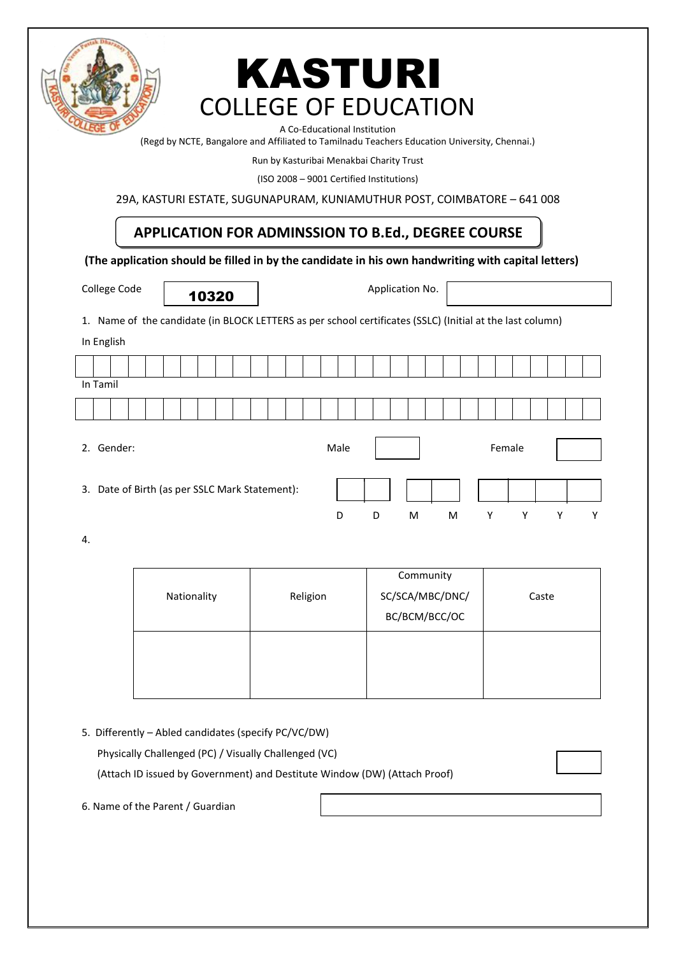

# COLLEGE OF EDUCATION KASTURI

A Co-Educational Institution

(Regd by NCTE, Bangalore and Affiliated to Tamilnadu Teachers Education University, Chennai.)

Run by Kasturibai Menakbai Charity Trust

(ISO 2008 – 9001 Certified Institutions)

29A, KASTURI ESTATE, SUGUNAPURAM, KUNIAMUTHUR POST, COIMBATORE – 641 008

# **APPLICATION FOR ADMINSSION TO B.Ed., DEGREE COURSE**

**(The application should be filled in by the candidate in his own handwriting with capital letters)**

10320

College Code **Application No.** Application No.

1. Name of the candidate (in BLOCK LETTERS as per school certificates (SSLC) (Initial at the last column)

In English

| In Tamil                                       |  |  |  |  |  |  |      |   |   |   |   |        |   |   |   |
|------------------------------------------------|--|--|--|--|--|--|------|---|---|---|---|--------|---|---|---|
|                                                |  |  |  |  |  |  |      |   |   |   |   |        |   |   |   |
| 2. Gender:                                     |  |  |  |  |  |  | Male |   |   |   |   | Female |   |   |   |
| 3. Date of Birth (as per SSLC Mark Statement): |  |  |  |  |  |  | D    | D | M | M | Y |        | Υ | ٧ | Υ |

4.

|             |          | Community       |       |
|-------------|----------|-----------------|-------|
| Nationality | Religion | SC/SCA/MBC/DNC/ | Caste |
|             |          | BC/BCM/BCC/OC   |       |
|             |          |                 |       |
|             |          |                 |       |
|             |          |                 |       |

5. Differently – Abled candidates (specify PC/VC/DW)

Physically Challenged (PC) / Visually Challenged (VC)

(Attach ID issued by Government) and Destitute Window (DW) (Attach Proof)

6. Name of the Parent / Guardian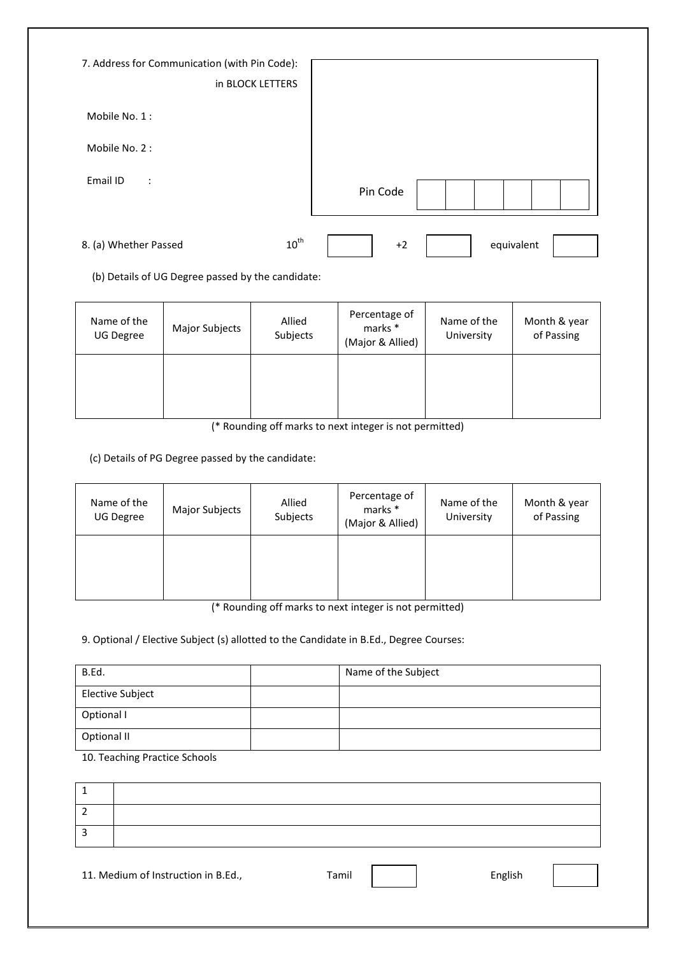| 7. Address for Communication (with Pin Code):<br>in BLOCK LETTERS |                    |
|-------------------------------------------------------------------|--------------------|
| Mobile No. 1:                                                     |                    |
| Mobile No. 2:                                                     |                    |
| Email ID<br>$\ddot{\phantom{a}}$                                  | Pin Code           |
| $10^{\text{th}}$<br>8. (a) Whether Passed                         | equivalent<br>$+2$ |

(b) Details of UG Degree passed by the candidate:

| Name of the<br><b>UG Degree</b> | Major Subjects | Allied<br>Subjects | Percentage of<br>marks *<br>(Major & Allied) | Name of the<br>University | Month & year<br>of Passing |
|---------------------------------|----------------|--------------------|----------------------------------------------|---------------------------|----------------------------|
|                                 |                |                    |                                              |                           |                            |

(\* Rounding off marks to next integer is not permitted)

(c) Details of PG Degree passed by the candidate:

| Name of the<br>UG Degree | Major Subjects | Allied<br>Subjects | Percentage of<br>marks *<br>(Major & Allied) | Name of the<br>University | Month & year<br>of Passing |
|--------------------------|----------------|--------------------|----------------------------------------------|---------------------------|----------------------------|
|                          |                |                    |                                              |                           |                            |

(\* Rounding off marks to next integer is not permitted)

9. Optional / Elective Subject (s) allotted to the Candidate in B.Ed., Degree Courses:

| B.Ed.            | Name of the Subject |
|------------------|---------------------|
| Elective Subject |                     |
| Optional I       |                     |
| Optional II      |                     |

10. Teaching Practice Schools

11. Medium of Instruction in B.Ed., Tamil Famil Full English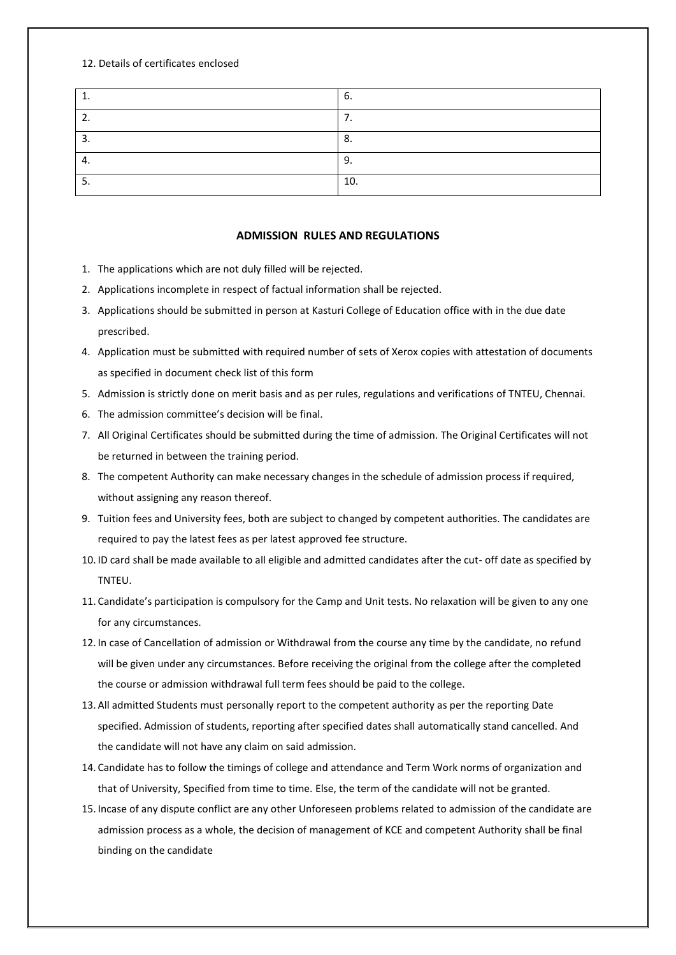#### 12. Details of certificates enclosed

|     | ხ.              |
|-----|-----------------|
|     | ٠.              |
| J.  | $\circ$<br>ο.   |
| т.  | Q<br><u>. .</u> |
| . ب | 10.             |

### **ADMISSION RULES AND REGULATIONS**

- 1. The applications which are not duly filled will be rejected.
- 2. Applications incomplete in respect of factual information shall be rejected.
- 3. Applications should be submitted in person at Kasturi College of Education office with in the due date prescribed.
- 4. Application must be submitted with required number of sets of Xerox copies with attestation of documents as specified in document check list of this form
- 5. Admission is strictly done on merit basis and as per rules, regulations and verifications of TNTEU, Chennai.
- 6. The admission committee's decision will be final.
- 7. All Original Certificates should be submitted during the time of admission. The Original Certificates will not be returned in between the training period.
- 8. The competent Authority can make necessary changes in the schedule of admission process if required, without assigning any reason thereof.
- 9. Tuition fees and University fees, both are subject to changed by competent authorities. The candidates are required to pay the latest fees as per latest approved fee structure.
- 10. ID card shall be made available to all eligible and admitted candidates after the cut- off date as specified by TNTEU.
- 11. Candidate's participation is compulsory for the Camp and Unit tests. No relaxation will be given to any one for any circumstances.
- 12. In case of Cancellation of admission or Withdrawal from the course any time by the candidate, no refund will be given under any circumstances. Before receiving the original from the college after the completed the course or admission withdrawal full term fees should be paid to the college.
- 13. All admitted Students must personally report to the competent authority as per the reporting Date specified. Admission of students, reporting after specified dates shall automatically stand cancelled. And the candidate will not have any claim on said admission.
- 14. Candidate has to follow the timings of college and attendance and Term Work norms of organization and that of University, Specified from time to time. Else, the term of the candidate will not be granted.
- 15. Incase of any dispute conflict are any other Unforeseen problems related to admission of the candidate are admission process as a whole, the decision of management of KCE and competent Authority shall be final binding on the candidate